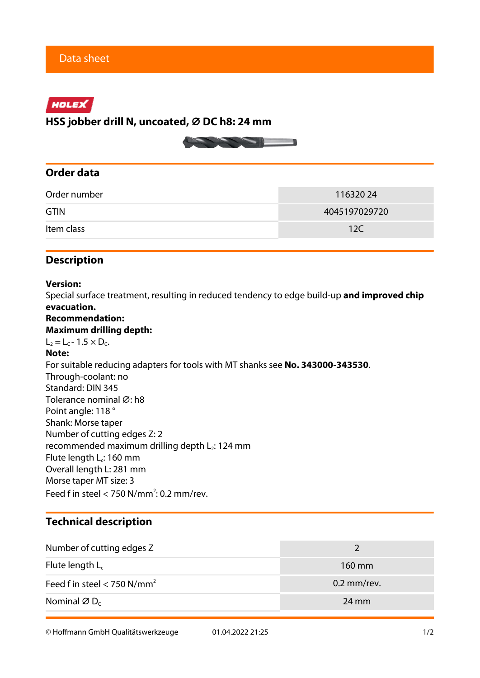# HOLEX

**HSS jobber drill N, uncoated, ⌀ DC h8: 24 mm**



## **Order data**

| Order number | 11632024      |  |  |
|--------------|---------------|--|--|
| <b>GTIN</b>  | 4045197029720 |  |  |
| Item class   | 12C           |  |  |

## **Description**

## **Version:**

Special surface treatment, resulting in reduced tendency to edge build-up **and improved chip evacuation.**

## **Recommendation:**

#### **Maximum drilling depth:**

 $L_2 = L_C - 1.5 \times D_C$ .

### **Note:**

For suitable reducing adapters for tools with MT shanks see **No. 343000-343530**. Through-coolant: no Standard: DIN 345 Tolerance nominal Ø: h8 Point angle: 118 ° Shank: Morse taper Number of cutting edges Z: 2 recommended maximum drilling depth  $L_2$ : 124 mm Flute length L<sub>c</sub>: 160 mm Overall length L: 281 mm Morse taper MT size: 3 Feed f in steel  $<$  750 N/mm<sup>2</sup>: 0.2 mm/rev.

## **Technical description**

| Number of cutting edges Z               |                 |  |
|-----------------------------------------|-----------------|--|
| Flute length $L_c$                      | 160 mm          |  |
| Feed f in steel < 750 N/mm <sup>2</sup> | $0.2$ mm/rev.   |  |
| Nominal $\varnothing$ D <sub>c</sub>    | $24 \text{ mm}$ |  |

© Hoffmann GmbH Qualitätswerkzeuge 01.04.2022 21:25 1/2